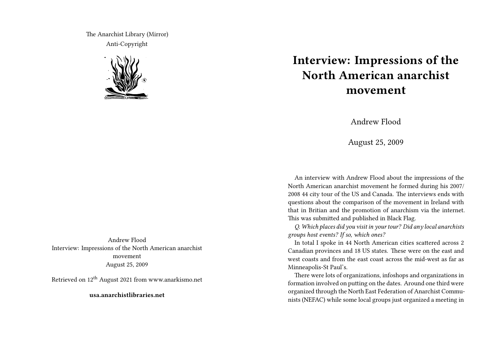The Anarchist Library (Mirror) Anti-Copyright



## **Interview: Impressions of the North American anarchist movement**

Andrew Flood

August 25, 2009

An interview with Andrew Flood about the impressions of the North American anarchist movement he formed during his 2007/ 2008 44 city tour of the US and Canada. The interviews ends with questions about the comparison of the movement in Ireland with that in Britian and the promotion of anarchism via the internet. This was submitted and published in Black Flag.

*Q. Which places did you visit in your tour? Did any local anarchists groups host events? If so, which ones?*

In total I spoke in 44 North American cities scattered across 2 Canadian provinces and 18 US states. These were on the east and west coasts and from the east coast across the mid-west as far as Minneapolis-St Paul's.

There were lots of organizations, infoshops and organizations in formation involved on putting on the dates. Around one third were organized through the North East Federation of Anarchist Communists (NEFAC) while some local groups just organized a meeting in

Andrew Flood Interview: Impressions of the North American anarchist movement August 25, 2009

Retrieved on 12th August 2021 from www.anarkismo.net

**usa.anarchistlibraries.net**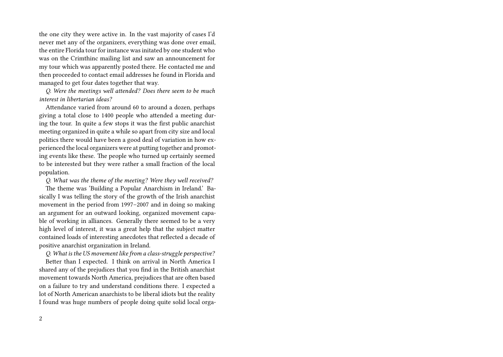the one city they were active in. In the vast majority of cases I'd never met any of the organizers, everything was done over email, the entire Florida tour for instance was initated by one student who was on the Crimthinc mailing list and saw an announcement for my tour which was apparently posted there. He contacted me and then proceeded to contact email addresses he found in Florida and managed to get four dates together that way.

*Q. Were the meetings well attended? Does there seem to be much interest in libertarian ideas?*

Attendance varied from around 60 to around a dozen, perhaps giving a total close to 1400 people who attended a meeting during the tour. In quite a few stops it was the first public anarchist meeting organized in quite a while so apart from city size and local politics there would have been a good deal of variation in how experienced the local organizers were at putting together and promoting events like these. The people who turned up certainly seemed to be interested but they were rather a small fraction of the local population.

*Q. What was the theme of the meeting? Were they well received?*

The theme was 'Building a Popular Anarchism in Ireland.' Basically I was telling the story of the growth of the Irish anarchist movement in the period from 1997–2007 and in doing so making an argument for an outward looking, organized movement capable of working in alliances. Generally there seemed to be a very high level of interest, it was a great help that the subject matter contained loads of interesting anecdotes that reflected a decade of positive anarchist organization in Ireland.

*Q. What is the US movement like from a class-struggle perspective?*

Better than I expected. I think on arrival in North America I shared any of the prejudices that you find in the British anarchist movement towards North America, prejudices that are often based on a failure to try and understand conditions there. I expected a lot of North American anarchists to be liberal idiots but the reality I found was huge numbers of people doing quite solid local orga-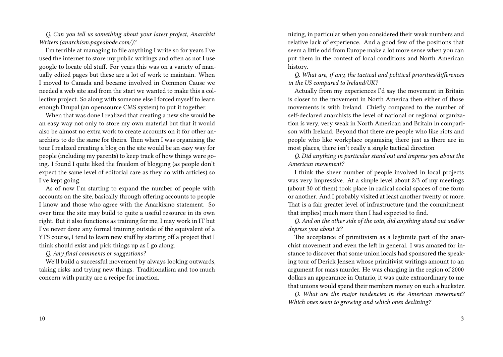*Q. Can you tell us something about your latest project, Anarchist Writers (anarchism.pageabode.com/)?*

I'm terrible at managing to file anything I write so for years I've used the internet to store my public writings and often as not I use google to locate old stuff. For years this was on a variety of manually edited pages but these are a lot of work to maintain. When I moved to Canada and became involved in Common Cause we needed a web site and from the start we wanted to make this a collective project. So along with someone else I forced myself to learn enough Drupal (an opensource CMS system) to put it together.

When that was done I realized that creating a new site would be an easy way not only to store my own material but that it would also be almost no extra work to create accounts on it for other anarchists to do the same for theirs. Then when I was organising the tour I realized creating a blog on the site would be an easy way for people (including my parents) to keep track of how things were going. I found I quite liked the freedom of blogging (as people don't expect the same level of editorial care as they do with articles) so I've kept going.

As of now I'm starting to expand the number of people with accounts on the site, basically through offering accounts to people I know and those who agree with the Anarkismo statement. So over time the site may build to quite a useful resource in its own right. But it also functions as training for me, I may work in IT but I've never done any formal training outside of the equivalent of a YTS course, I tend to learn new stuff by starting off a project that I think should exist and pick things up as I go along.

*Q. Any final comments or suggestions?*

We'll build a successful movement by always looking outwards, taking risks and trying new things. Traditionalism and too much concern with purity are a recipe for inaction.

nizing, in particular when you considered their weak numbers and relative lack of experience. And a good few of the positions that seem a little odd from Europe make a lot more sense when you can put them in the contest of local conditions and North American history.

*Q. What are, if any, the tactical and political priorities/differences in the US compared to Ireland/UK?*

Actually from my experiences I'd say the movement in Britain is closer to the movement in North America then either of those movements is with Ireland. Chiefly compared to the number of self-declared anarchists the level of national or regional organization is very, very weak in North American and Britain in comparison with Ireland. Beyond that there are people who like riots and people who like workplace organising there just as there are in most places, there isn't really a single tactical direction

*Q. Did anything in particular stand out and impress you about the American movement?*

I think the sheer number of people involved in local projects was very impressive. At a simple level about 2/3 of my meetings (about 30 of them) took place in radical social spaces of one form or another. And I probably visited at least another twenty or more. That is a fair greater level of infrastructure (and the commitment that implies) much more then I had expected to find.

*Q. And on the other side of the coin, did anything stand out and/or depress you about it?*

The acceptance of primitivism as a legtimite part of the anarchist movement and even the left in general. I was amazed for instance to discover that some union locals had sponsored the speaking tour of Derick Jensen whose primitivist writings amount to an argument for mass murder. He was charging in the region of 2000 dollars an appearance in Ontario, it was quite extraordinary to me that unions would spend their members money on such a huckster.

*Q. What are the major tendencies in the American movement? Which ones seem to growing and which ones declining?*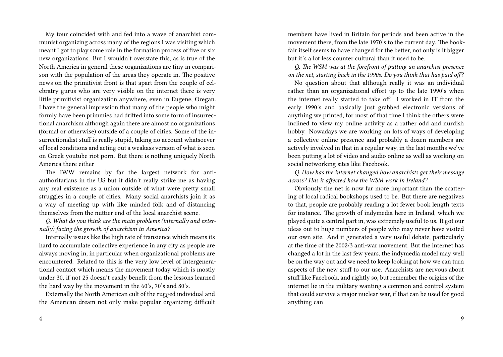My tour coincided with and fed into a wave of anarchist communist organizing across many of the regions I was visiting which meant I got to play some role in the formation process of five or six new organizations. But I wouldn't overstate this, as is true of the North America in general these organizations are tiny in comparison with the population of the areas they operate in. The positive news on the primitivist front is that apart from the couple of celebratry gurus who are very visible on the internet there is very little primitivist organization anywhere, even in Eugene, Oregan. I have the general impression that many of the people who might formly have been primmies had drifted into some form of insurrectional anarchism although again there are almost no organizations (formal or otherwise) outside of a couple of cities. Some of the insurrectionalist stuff is really stupid, taking no account whatsoever of local conditions and acting out a weakass version of what is seen on Greek youtube riot porn. But there is nothing uniquely North America there either

The IWW remains by far the largest network for antiauthoritarians in the US but it didn't really strike me as having any real existence as a union outside of what were pretty small struggles in a couple of cities. Many social anarchists join it as a way of meeting up with like minded folk and of distancing themselves from the nuttier end of the local anarchist scene.

*Q. What do you think are the main problems (internally and externally) facing the growth of anarchism in America?*

Internally issues like the high rate of transience which means its hard to accumulate collective experience in any city as people are always moving in, in particular when organizational problems are encountered. Related to this is the very low level of intergenerational contact which means the movement today which is mostly under 30, if not 25 doesn't easily benefit from the lessons learned the hard way by the movement in the 60's, 70's and 80's.

Externally the North American cult of the rugged individual and the American dream not only make popular organizing difficult members have lived in Britain for periods and been active in the movement there, from the late 1970's to the current day. The bookfair itself seems to have changed for the better, not only is it bigger but it's a lot less counter cultural than it used to be.

*Q. The WSM was at the forefront of putting an anarchist presence on the net, starting back in the 1990s. Do you think that has paid off?*

No question about that although really it was an individual rather than an organizational effort up to the late 1990's when the internet really started to take off. I worked in IT from the early 1990's and basically just grabbed electronic versions of anything we printed, for most of that time I think the others were inclined to view my online activity as a rather odd and nurdish hobby. Nowadays we are working on lots of ways of developing a collective online presence and probably a dozen members are actively involved in that in a regular way, in the last months we've been putting a lot of video and audio online as well as working on social networking sites like Facebook.

*Q. How has the internet changed how anarchists get their message across? Has it affected how the WSM work in Ireland?*

Obviously the net is now far more important than the scattering of local radical bookshops used to be. But there are negatives to that, people are probably reading a lot fewer book length texts for instance. The growth of indymedia here in Ireland, which we played quite a central part in, was extremely useful to us. It got our ideas out to huge numbers of people who may never have visited our own site. And it generated a very useful debate, particularly at the time of the 2002/3 anti-war movement. But the internet has changed a lot in the last few years, the indymedia model may well be on the way out and we need to keep looking at how we can turn aspects of the new stuff to our use. Anarchists are nervous about stuff like Facebook, and rightly so, but remember the origins of the internet lie in the military wanting a common and control system that could survive a major nuclear war, if that can be used for good anything can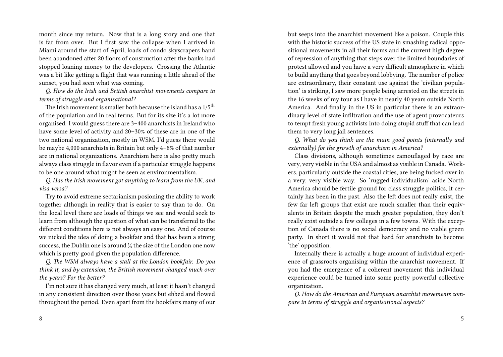month since my return. Now that is a long story and one that is far from over. But I first saw the collapse when I arrived in Miami around the start of April, loads of condo skyscrapers hand been abandoned after 20 floors of construction after the banks had stopped loaning money to the developers. Crossing the Atlantic was a bit like getting a flight that was running a little ahead of the sunset, you had seen what was coming.

*Q. How do the Irish and British anarchist movements compare in terms of struggle and organisational?*

The Irish movement is smaller both because the island has a  $1/5$ <sup>th</sup> of the population and in real terms. But for its size it's a lot more organised. I would guess there are 3–400 anarchists in Ireland who have some level of activity and 20–30% of these are in one of the two national organization, mostly in WSM. I'd guess there would be maybe 4,000 anarchists in Britain but only 4–8% of that number are in national organizations. Anarchism here is also pretty much always class struggle in flavor even if a particular struggle happens to be one around what might be seen as environmentalism.

*Q. Has the Irish movement got anything to learn from the UK, and visa versa?*

Try to avoid extreme sectarianism posioning the ability to work together although in reality that is easier to say than to do. On the local level there are loads of things we see and would seek to learn from although the question of what can be transferred to the different conditions here is not always an easy one. And of course we nicked the idea of doing a bookfair and that has been a strong success, the Dublin one is around  $\frac{1}{4}$  the size of the London one now which is pretty good given the population difference.

*Q. The WSM always have a stall at the London bookfair. Do you think it, and by extension, the British movement changed much over the years? For the better?*

I'm not sure it has changed very much, at least it hasn't changed in any consistent direction over those years but ebbed and flowed throughout the period. Even apart from the bookfairs many of our but seeps into the anarchist movement like a poison. Couple this with the historic success of the US state in smashing radical oppositional movements in all their forms and the current high degree of repression of anything that steps over the limited boundaries of protest allowed and you have a very difficult atmosphere in which to build anything that goes beyond lobbying. The number of police are extraordinary, their constant use against the 'civilian population' is striking, I saw more people being arrested on the streets in the 16 weeks of my tour as I have in nearly 40 years outside North America. And finally in the US in particular there is an extraordinary level of state infiltration and the use of agent provocateurs to tempt fresh young activists into doing stupid stuff that can lead them to very long jail sentences.

*Q. What do you think are the main good points (internally and externally) for the growth of anarchism in America?*

Class divisions, although sometimes camouflaged by race are very, very visible in the USA and almost as visible in Canada. Workers, particularly outside the coastal cities, are being fucked over in a very, very visible way. So 'rugged individualism' aside North America should be fertile ground for class struggle politics, it certainly has been in the past. Also the left does not really exist, the few far left groups that exist are much smaller than their equivalents in Britain despite the much greater population, they don't really exist outside a few colleges in a few towns. With the exception of Canada there is no social democracy and no viable green party. In short it would not that hard for anarchists to become 'the' opposition.

Internally there is actually a huge amount of individual experience of grassroots organising within the anarchist movement. If you had the emergence of a coherent movement this individual experience could be turned into some pretty powerful collective organization.

*Q. How do the American and European anarchist movements compare in terms of struggle and organisational aspects?*